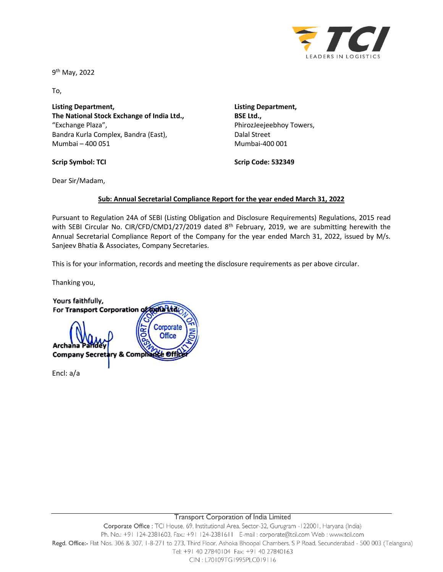

9<sup>th</sup> May, 2022

To,

**Listing Department, Listing Department, The National Stock Exchange of India Ltd., BSE Ltd.,** "Exchange Plaza", PhirozJeejeebhoy Towers, Bandra Kurla Complex, Bandra (East), Dalal Street Mumbai – 400 051 Mumbai-400 001

**Scrip Symbol: TCI Scrip Code: 532349**

Dear Sir/Madam,

## **Sub: Annual Secretarial Compliance Report for the year ended March 31, 2022**

Pursuant to Regulation 24A of SEBI (Listing Obligation and Disclosure Requirements) Regulations, 2015 read with SEBI Circular No. CIR/CFD/CMD1/27/2019 dated 8<sup>th</sup> February, 2019, we are submitting herewith the Annual Secretarial Compliance Report of the Company for the year ended March 31, 2022, issued by M/s. Sanjeev Bhatia & Associates, Company Secretaries.

This is for your information, records and meeting the disclosure requirements as per above circular.

Thanking you,

Yours faithfully, For Transport Corporation of behalfa Corporate Office **Company Secret** & Comphance Off

Encl: a/a

#### Transport Corporation of India Limited

Corporate Office : TCI House, 69, Institutional Area, Sector-32, Gurugram -122001, Haryana (India) Ph. No.: +91 124-2381603, Fax.: +91 124-2381611 E-mail : corporate@tcil.com Web : www.tcil.com Regd. Office:- Flat Nos. 306 & 307, 1-8-271 to 273, Third Floor, Ashoka Bhoopal Chambers, S P Road, Secunderabad - 500 003 (Telangana) Tel: +91 40 27840104 Fax: +91 40 27840163 CIN: L70109TG1995PLC019116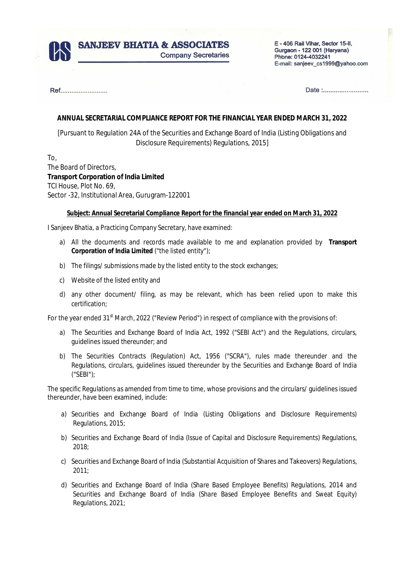

**SANJEEV BHATIA & ASSOCIATES Company Secretaries** 

E - 406 Rail Vihar, Sector 15-II, Gurgaon - 122 001 (Haryana) Phone: 0124-4032241 E-mail: sanjeev cs1999@yahoo.com

Ref.............................

Date :.........................

## **ANNUAL SECRETARIAL COMPLIANCE REPORT FOR THE FINANCIAL YEAR ENDED MARCH 31, 2022**

[Pursuant to Regulation 24A of the Securities and Exchange Board of India (Listing Obligations and Disclosure Requirements) Regulations, 2015]

To, The Board of Directors, **Transport Corporation of India Limited** TCI House, Plot No. 69, Sector -32, Institutional Area, Gurugram-122001

#### **Subject: Annual Secretarial Compliance Report for the financial year ended on March 31, 2022**

I Sanjeev Bhatia, a Practicing Company Secretary, have examined:

- a) All the documents and records made available to me and explanation provided by **Transport Corporation of India Limited** ("the listed entity");
- b) The filings/ submissions made by the listed entity to the stock exchanges;
- c) Website of the listed entity and
- d) any other document/ filing, as may be relevant, which has been relied upon to make this certification;

For the year ended 31<sup>st</sup> March, 2022 ("Review Period") in respect of compliance with the provisions of:

- a) The Securities and Exchange Board of India Act, 1992 ("SEBI Act") and the Regulations, circulars, guidelines issued thereunder; and
- b) The Securities Contracts (Regulation) Act, 1956 ("SCRA"), rules made thereunder and the Regulations, circulars, guidelines issued thereunder by the Securities and Exchange Board of India ("SEBI");

The specific Regulations as amended from time to time, whose provisions and the circulars/ guidelines issued thereunder, have been examined, include:

- a) Securities and Exchange Board of India (Listing Obligations and Disclosure Requirements) Regulations, 2015;
- b) Securities and Exchange Board of India (Issue of Capital and Disclosure Requirements) Regulations, 2018;
- c) Securities and Exchange Board of India (Substantial Acquisition of Shares and Takeovers) Regulations, 2011;
- d) Securities and Exchange Board of India (Share Based Employee Benefits) Regulations, 2014 and Securities and Exchange Board of India (Share Based Employee Benefits and Sweat Equity) Regulations, 2021;